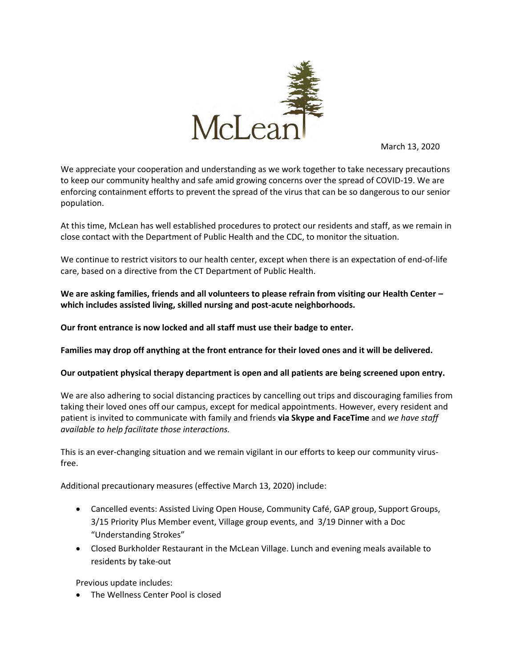

March 13, 2020

We appreciate your cooperation and understanding as we work together to take necessary precautions to keep our community healthy and safe amid growing concerns over the spread of COVID-19. We are enforcing containment efforts to prevent the spread of the virus that can be so dangerous to our senior population.

At this time, McLean has well established procedures to protect our residents and staff, as we remain in close contact with the Department of Public Health and the CDC, to monitor the situation.

We continue to restrict visitors to our health center, except when there is an expectation of end-of-life care, based on a directive from the CT Department of Public Health.

**We are asking families, friends and all volunteers to please refrain from visiting our Health Center – which includes assisted living, skilled nursing and post-acute neighborhoods.** 

**Our front entrance is now locked and all staff must use their badge to enter.** 

**Families may drop off anything at the front entrance for their loved ones and it will be delivered.**

## **Our outpatient physical therapy department is open and all patients are being screened upon entry.**

We are also adhering to social distancing practices by cancelling out trips and discouraging families from taking their loved ones off our campus, except for medical appointments. However, every resident and patient is invited to communicate with family and friends **via Skype and FaceTime** and *we have staff available to help facilitate those interactions.* 

This is an ever-changing situation and we remain vigilant in our efforts to keep our community virusfree.

Additional precautionary measures (effective March 13, 2020) include:

- Cancelled events: Assisted Living Open House, Community Café, GAP group, Support Groups, 3/15 Priority Plus Member event, Village group events, and 3/19 Dinner with a Doc "Understanding Strokes"
- Closed Burkholder Restaurant in the McLean Village. Lunch and evening meals available to residents by take-out

Previous update includes:

• The Wellness Center Pool is closed